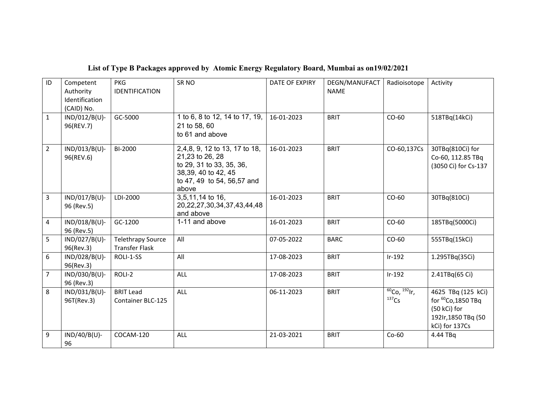| ID             | Competent<br>Authority<br>Identification<br>(CAID) No. | <b>PKG</b><br><b>IDENTIFICATION</b>               | SR <sub>NO</sub>                                                                                                                           | DATE OF EXPIRY | DEGN/MANUFACT<br><b>NAME</b> | Radioisotope            | Activity                                                                                                      |
|----------------|--------------------------------------------------------|---------------------------------------------------|--------------------------------------------------------------------------------------------------------------------------------------------|----------------|------------------------------|-------------------------|---------------------------------------------------------------------------------------------------------------|
| $\mathbf{1}$   | IND/012/B(U)-<br>96(REV.7)                             | GC-5000                                           | 1 to 6, 8 to 12, 14 to 17, 19,<br>21 to 58, 60<br>to 61 and above                                                                          | 16-01-2023     | <b>BRIT</b>                  | $CO-60$                 | 518TBq(14kCi)                                                                                                 |
| $\overline{2}$ | IND/013/B(U)-<br>96(REV.6)                             | BI-2000                                           | 2,4,8, 9, 12 to 13, 17 to 18,<br>21,23 to 26, 28<br>to 29, 31 to 33, 35, 36,<br>38,39, 40 to 42, 45<br>to 47, 49 to 54, 56,57 and<br>above | 16-01-2023     | <b>BRIT</b>                  | CO-60,137Cs             | 30TBq(810Ci) for<br>Co-60, 112.85 TBq<br>(3050 Ci) for Cs-137                                                 |
| 3              | IND/017/B(U)-<br>96 (Rev.5)                            | LDI-2000                                          | 3,5,11,14 to 16,<br>20, 22, 27, 30, 34, 37, 43, 44, 48<br>and above                                                                        | 16-01-2023     | <b>BRIT</b>                  | $CO-60$                 | 30TBq(810Ci)                                                                                                  |
| 4              | IND/018/B(U)-<br>96 (Rev.5)                            | GC-1200                                           | 1-11 and above                                                                                                                             | 16-01-2023     | <b>BRIT</b>                  | $CO-60$                 | 185TBq(5000Ci)                                                                                                |
| 5              | $IND/027/B(U)$ -<br>96(Rev.3)                          | <b>Telethrapy Source</b><br><b>Transfer Flask</b> | All                                                                                                                                        | 07-05-2022     | <b>BARC</b>                  | $CO-60$                 | 555TBq(15kCi)                                                                                                 |
| 6              | IND/028/B(U)-<br>96(Rev.3)                             | ROLI-1-SS                                         | All                                                                                                                                        | 17-08-2023     | <b>BRIT</b>                  | $Ir-192$                | 1.295TBq(35Ci)                                                                                                |
| $\overline{7}$ | IND/030/B(U)-<br>96 (Rev.3)                            | ROLI-2                                            | <b>ALL</b>                                                                                                                                 | 17-08-2023     | <b>BRIT</b>                  | $Ir-192$                | 2.41TBq(65 Ci)                                                                                                |
| 8              | IND/031/B(U)-<br>96T(Rev.3)                            | <b>BRIT Lead</b><br><b>Container BLC-125</b>      | ALL                                                                                                                                        | 06-11-2023     | <b>BRIT</b>                  | 60CQ, 192H,<br>$137$ Cs | 4625 TBq (125 kCi)<br>for <sup>60</sup> Co, 1850 TBq<br>(50 kCi) for<br>192Ir, 1850 TBq (50<br>kCi) for 137Cs |
| 9              | $IND/40/B(U)$ -<br>96                                  | COCAM-120                                         | ALL                                                                                                                                        | 21-03-2021     | <b>BRIT</b>                  | $Co-60$                 | 4.44 TBq                                                                                                      |

## **List of Type B Packages approved by Atomic Energy Regulatory Board, Mumbai as on19/02/2021**